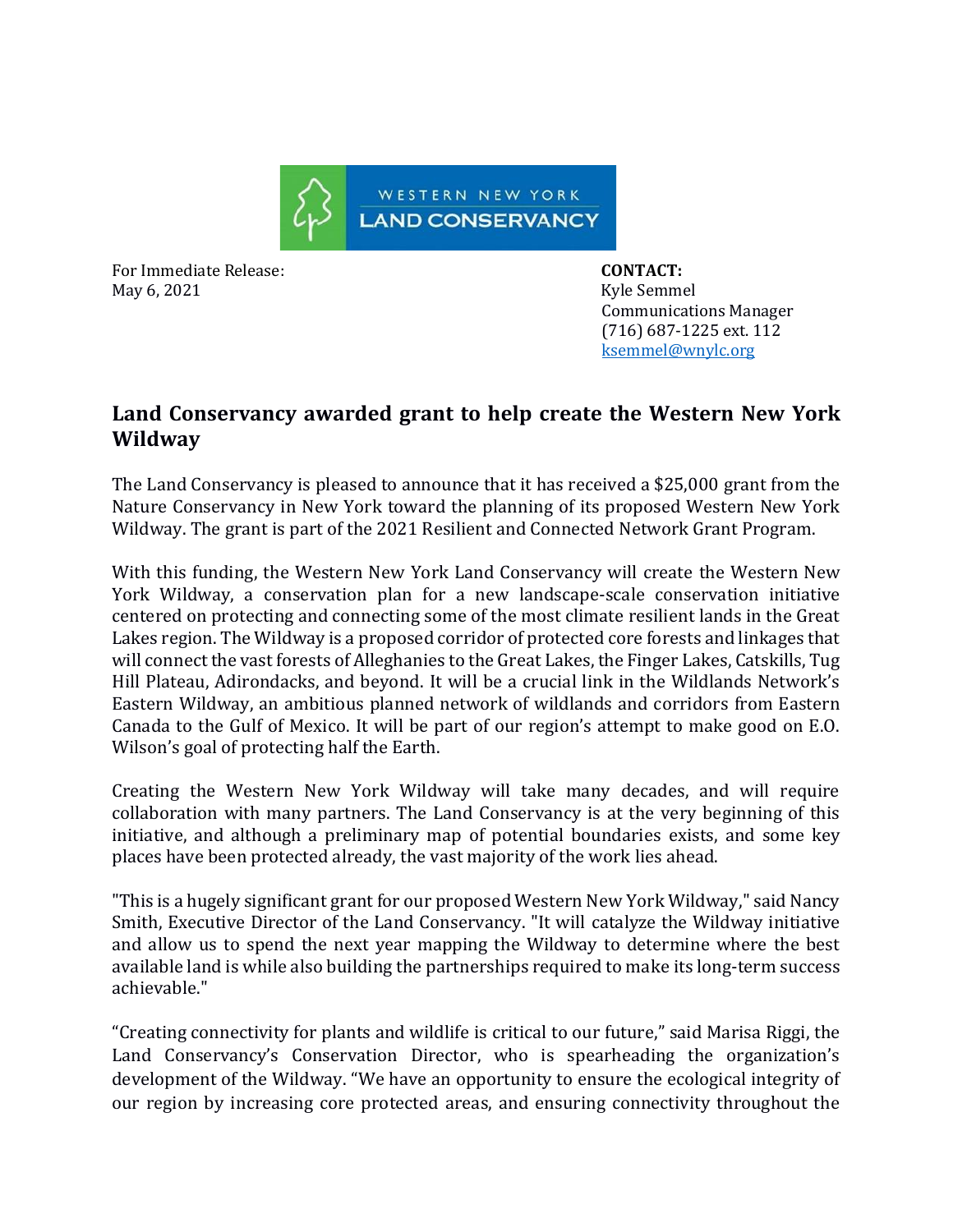

For Immediate Release: **CONTACT:**  May 6, 2021 **Kyle Semmel** 

 Communications Manager (716) 687-1225 ext. 112 [ksemmel@wnylc.org](mailto:ksemmel@wnylc.org)

## **Land Conservancy awarded grant to help create the Western New York Wildway**

The Land Conservancy is pleased to announce that it has received a \$25,000 grant from the Nature Conservancy in New York toward the planning of its proposed Western New York Wildway. The grant is part of the 2021 Resilient and Connected Network Grant Program.

With this funding, the Western New York Land Conservancy will create the Western New York Wildway, a conservation plan for a new landscape-scale conservation initiative centered on protecting and connecting some of the most climate resilient lands in the Great Lakes region. The Wildway is a proposed corridor of protected core forests and linkages that will connect the vast forests of Alleghanies to the Great Lakes, the Finger Lakes, Catskills, Tug Hill Plateau, Adirondacks, and beyond. It will be a crucial link in the Wildlands Network's Eastern Wildway, an ambitious planned network of wildlands and corridors from Eastern Canada to the Gulf of Mexico. It will be part of our region's attempt to make good on E.O. Wilson's goal of protecting half the Earth.

Creating the Western New York Wildway will take many decades, and will require collaboration with many partners. The Land Conservancy is at the very beginning of this initiative, and although a preliminary map of potential boundaries exists, and some key places have been protected already, the vast majority of the work lies ahead.

"This is a hugely significant grant for our proposed Western New York Wildway," said Nancy Smith, Executive Director of the Land Conservancy. "It will catalyze the Wildway initiative and allow us to spend the next year mapping the Wildway to determine where the best available land is while also building the partnerships required to make its long-term success achievable."

"Creating connectivity for plants and wildlife is critical to our future," said Marisa Riggi, the Land Conservancy's Conservation Director, who is spearheading the organization's development of the Wildway. "We have an opportunity to ensure the ecological integrity of our region by increasing core protected areas, and ensuring connectivity throughout the